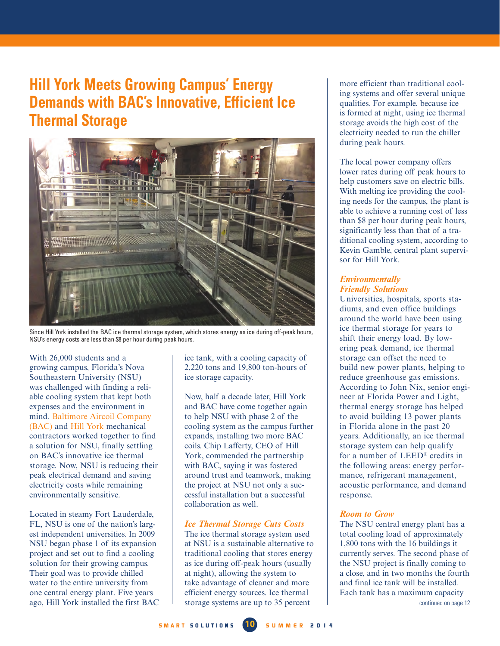# <span id="page-0-0"></span>**Hill York Meets Growing Campus' Energy Demands with BAC's Innovative, Efficient Ice Thermal Storage**



Since Hill York installed the BAC ice thermal storage system, which stores energy as ice during off-peak hours, NSU's energy costs are less than \$8 per hour during peak hours.

With 26,000 students and a growing campus, Florida's Nova Southeastern University (NSU) was challenged with finding a reliable cooling system that kept both expenses and the environment in mind. Baltimore Aircoil Company (BAC) and Hill York mechanical contractors worked together to find a solution for NSU, finally settling on BAC's innovative ice thermal storage. Now, NSU is reducing their peak electrical demand and saving electricity costs while remaining environmentally sensitive.

Located in steamy Fort Lauderdale, FL, NSU is one of the nation's largest independent universities. In 2009 NSU began phase 1 of its expansion project and set out to find a cooling solution for their growing campus. Their goal was to provide chilled water to the entire university from one central energy plant. Five years ago, Hill York installed the first BAC ice tank, with a cooling capacity of 2,220 tons and 19,800 ton-hours of ice storage capacity.

Now, half a decade later, Hill York and BAC have come together again to help NSU with phase 2 of the cooling system as the campus further expands, installing two more BAC coils. Chip Lafferty, CEO of Hill York, commended the partnership with BAC, saying it was fostered around trust and teamwork, making the project at NSU not only a successful installation but a successful collaboration as well.

## *Ice Thermal Storage Cuts Costs*

The ice thermal storage system used at NSU is a sustainable alternative to traditional cooling that stores energy as ice during off-peak hours (usually at night), allowing the system to take advantage of cleaner and more efficient energy sources. Ice thermal storage systems are up to 35 percent

more efficient than traditional cooling systems and offer several unique qualities. For example, because ice is formed at night, using ice thermal storage avoids the high cost of the electricity needed to run the chiller during peak hours.

The local power company offers lower rates during off peak hours to help customers save on electric bills. With melting ice providing the cooling needs for the campus, the plant is able to achieve a running cost of less than \$8 per hour during peak hours, significantly less than that of a traditional cooling system, according to Kevin Gamble, central plant supervisor for Hill York.

#### *Environmentally Friendly Solutions*

Universities, hospitals, sports stadiums, and even office buildings around the world have been using ice thermal storage for years to shift their energy load. By lowering peak demand, ice thermal storage can offset the need to build new power plants, helping to reduce greenhouse gas emissions. According to John Nix, senior engineer at Florida Power and Light, thermal energy storage has helped to avoid building 13 power plants in Florida alone in the past 20 years. Additionally, an ice thermal storage system can help qualify for a number of LEED® credits in the following areas: energy performance, refrigerant management, acoustic performance, and demand response.

## *Room to Grow*

The NSU central energy plant has a total cooling load of approximately 1,800 tons with the 16 buildings it currently serves. The second phase of the NSU project is finally coming to a close, and in two months the fourth and final ice tank will be installed. Each tank has a maximum capacity [continued on page 12](#page-1-0)